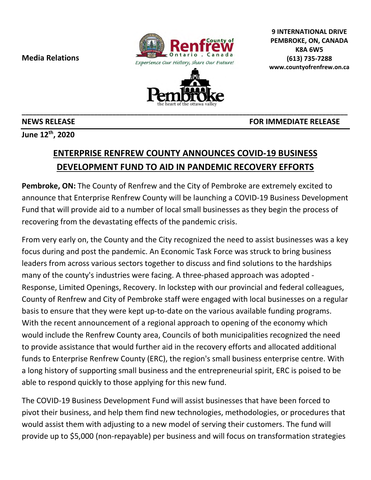**Media Relations** 





**\_\_\_\_\_\_\_\_\_\_\_\_\_\_\_\_\_\_\_\_\_\_\_\_\_\_\_\_\_\_\_\_\_\_\_\_\_\_\_\_\_\_\_\_\_\_\_\_\_\_\_\_\_\_\_\_\_\_\_\_\_\_\_\_\_\_\_\_\_\_\_\_\_\_\_\_\_\_\_\_\_\_\_\_\_\_\_\_\_\_** 

**9 INTERNATIONAL DRIVE PEMBROKE, ON, CANADA K8A 6W5 (613) 735-7288 www.countyofrenfrew.on.ca**

**June 12th, 2020** 

## **ENTERPRISE RENFREW COUNTY ANNOUNCES COVID-19 BUSINESS DEVELOPMENT FUND TO AID IN PANDEMIC RECOVERY EFFORTS**

**Pembroke, ON:** The County of Renfrew and the City of Pembroke are extremely excited to announce that Enterprise Renfrew County will be launching a COVID-19 Business Development Fund that will provide aid to a number of local small businesses as they begin the process of recovering from the devastating effects of the pandemic crisis.

From very early on, the County and the City recognized the need to assist businesses was a key focus during and post the pandemic. An Economic Task Force was struck to bring business leaders from across various sectors together to discuss and find solutions to the hardships many of the county's industries were facing. A three-phased approach was adopted - Response, Limited Openings, Recovery. In lockstep with our provincial and federal colleagues, County of Renfrew and City of Pembroke staff were engaged with local businesses on a regular basis to ensure that they were kept up-to-date on the various available funding programs. With the recent announcement of a regional approach to opening of the economy which would include the Renfrew County area, Councils of both municipalities recognized the need to provide assistance that would further aid in the recovery efforts and allocated additional funds to Enterprise Renfrew County (ERC), the region's small business enterprise centre. With a long history of supporting small business and the entrepreneurial spirit, ERC is poised to be able to respond quickly to those applying for this new fund.

The COVID-19 Business Development Fund will assist businesses that have been forced to pivot their business, and help them find new technologies, methodologies, or procedures that would assist them with adjusting to a new model of serving their customers. The fund will provide up to \$5,000 (non-repayable) per business and will focus on transformation strategies

**NEWS RELEASE FOR IMMEDIATE RELEASE**